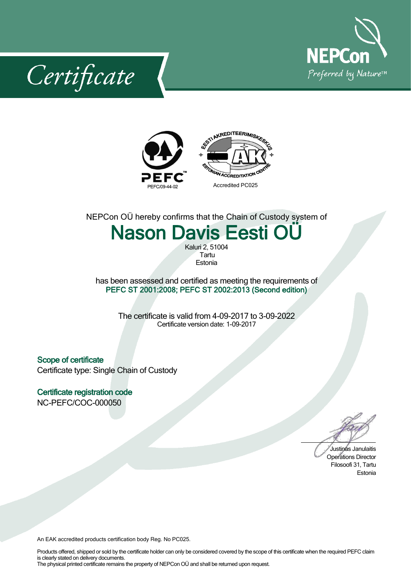

Certificate



NEPCon OÜ hereby confirms that the Chain of Custody system of

## Nason Davis Eesti OÜ

Kaluri 2, 51004 Tartu **Estonia** 

has been assessed and certified as meeting the requirements of PEFC ST 2001:2008; PEFC ST 2002:2013 (Second edition)

> The certificate is valid from 4-09-2017 to 3-09-2022 Certificate version date: 1-09-2017

Scope of certificate Certificate type: Single Chain of Custody

Certificate registration code NC-PEFC/COC-000050

Justinas Janulaitis Operations Director Filosoofi 31, Tartu Estonia

An EAK accredited products certification body Reg. No PC025.

Products offered, shipped or sold by the certificate holder can only be considered covered by the scope of this certificate when the required PEFC claim is clearly stated on delivery documents. The physical printed certificate remains the property of NEPCon OÜ and shall be returned upon request.